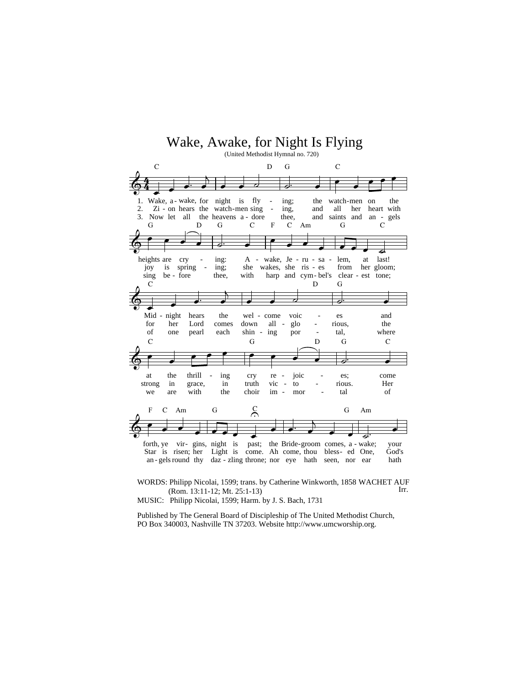

WORDS: Philipp Nicolai, 1599; trans. by Catherine Winkworth, 1858 WACHET AUF (Rom. 13:11-12; Mt. 25:1-13) Irr.

MUSIC: Philipp Nicolai, 1599; Harm. by J. S. Bach, 1731

Published by The General Board of Discipleship of The United Methodist Church, PO Box 340003, Nashville TN 37203. Website http://www.umcworship.org.